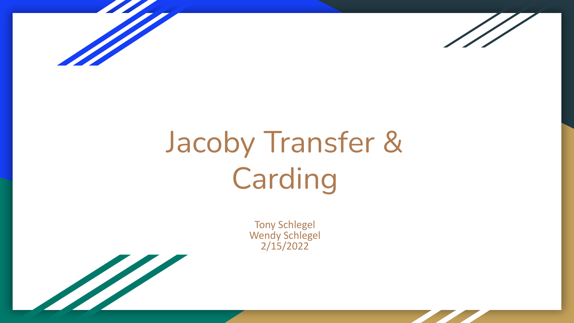



# Jacoby Transfer & Carding

Tony Schlegel Wendy Schlegel 2/15/2022

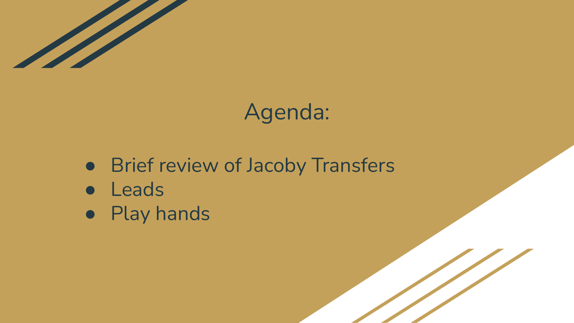

## Agenda:

- Brief review of Jacoby Transfers
- Leads
- Play hands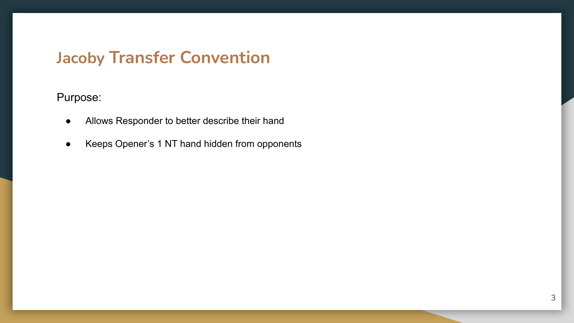#### **Jacoby Transfer Convention**

#### Purpose:

- Allows Responder to better describe their hand
- Keeps Opener's 1 NT hand hidden from opponents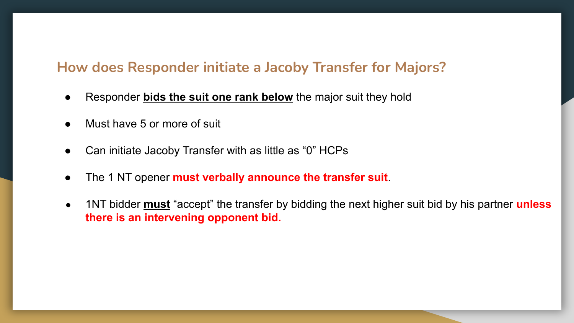#### **How does Responder initiate a Jacoby Transfer for Majors?**

- Responder **bids the suit one rank below** the major suit they hold
- Must have 5 or more of suit
- Can initiate Jacoby Transfer with as little as "0" HCPs
- The 1 NT opener **must verbally announce the transfer suit**.
- 1NT bidder **must** "accept" the transfer by bidding the next higher suit bid by his partner **unless there is an intervening opponent bid.**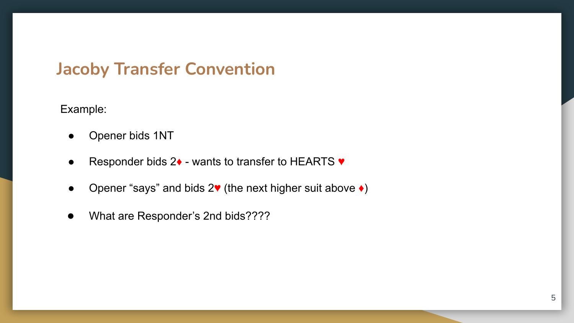#### **Jacoby Transfer Convention**

Example:

- Opener bids 1NT
- Responder bids 2♦ wants to transfer to HEARTS ♥
- Opener "says" and bids 2♥ (the next higher suit above ♦)
- What are Responder's 2nd bids????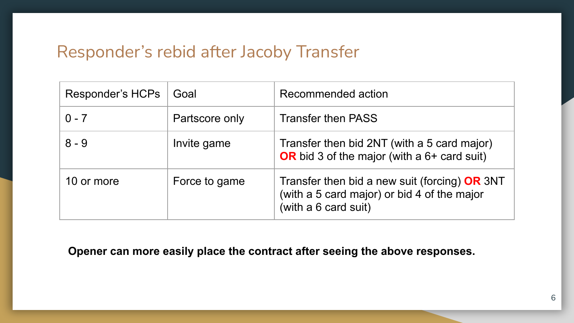#### Responder's rebid after Jacoby Transfer

| Responder's HCPs | Goal           | Recommended action                                                                                                     |
|------------------|----------------|------------------------------------------------------------------------------------------------------------------------|
| $0 - 7$          | Partscore only | <b>Transfer then PASS</b>                                                                                              |
| $8 - 9$          | Invite game    | Transfer then bid 2NT (with a 5 card major)<br>OR bid 3 of the major (with a $6+$ card suit)                           |
| 10 or more       | Force to game  | Transfer then bid a new suit (forcing) $OR$ 3NT<br>(with a 5 card major) or bid 4 of the major<br>(with a 6 card suit) |

**Opener can more easily place the contract after seeing the above responses.**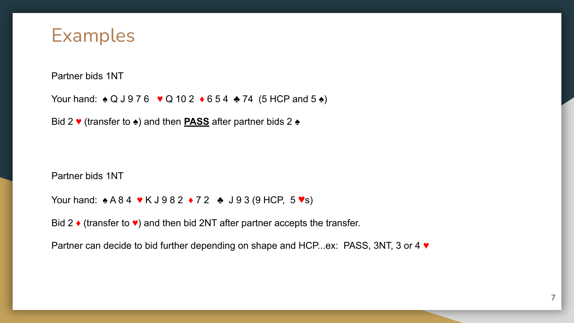

Partner bids 1NT

Your hand: ♦ Q J 9 7 6 ♥ Q 10 2 ♦ 6 5 4 ♦ 74 (5 HCP and 5 ♦)

Bid 2 ♥ (transfer to ♠) and then **PASS** after partner bids 2 ♠

Partner bids 1NT

Your hand: ♦ A 8 4 ♥ K J 9 8 2 ♦ 7 2 ♦ J 9 3 (9 HCP, 5 ♥s)

Bid 2  $\bullet$  (transfer to  $\bullet$ ) and then bid 2NT after partner accepts the transfer.

Partner can decide to bid further depending on shape and HCP...ex: PASS, 3NT, 3 or 4 ♥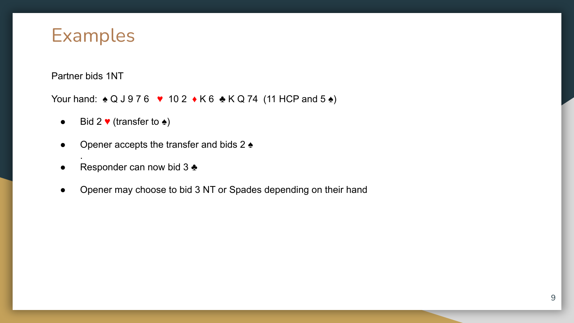

Partner bids 1NT

.

Your hand:  $\triangle Q$  J 9 7 6 ♥ 10 2 ♦ K 6 ♣ K Q 74 (11 HCP and 5 ♠)

- $\bullet$  Bid 2  $\blacktriangledown$  (transfer to  $\blacktriangle$ )
- Opener accepts the transfer and bids  $2 \triangleq$
- Responder can now bid 3  $\clubsuit$
- Opener may choose to bid 3 NT or Spades depending on their hand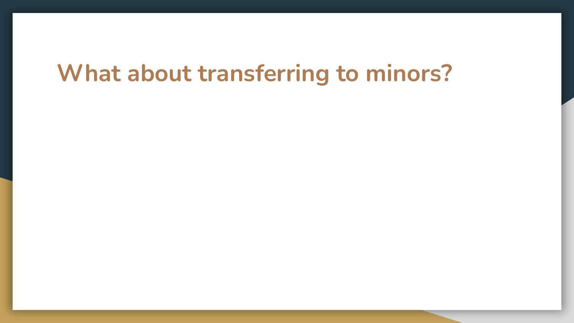## **What about transferring to minors?**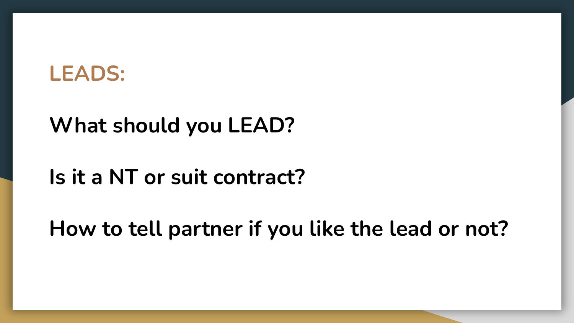#### **LEADS:**

#### **What should you LEAD?**

## **Is it a NT or suit contract?**

**How to tell partner if you like the lead or not?**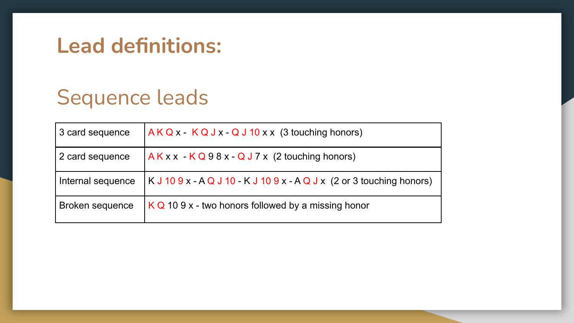#### **Lead definitions:**

## Sequence leads

| 3 card sequence   | $AKQx - KQJx - QJ10xx$ (3 touching honors)                |
|-------------------|-----------------------------------------------------------|
| 2 card sequence   | $AKxx - KQ98x - QJ7x$ (2 touching honors)                 |
| Internal sequence | $KJ109x - AQJ10 - KJ109x - AQJx$ (2 or 3 touching honors) |
| Broken sequence   | $KQ$ 10 9 x - two honors followed by a missing honor      |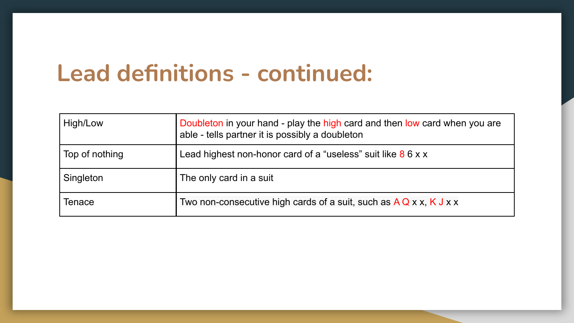## **Lead definitions - continued:**

| High/Low       | Doubleton in your hand - play the high card and then low card when you are<br>able - tells partner it is possibly a doubleton |
|----------------|-------------------------------------------------------------------------------------------------------------------------------|
| Top of nothing | Lead highest non-honor card of a "useless" suit like $86xx$                                                                   |
| Singleton      | The only card in a suit                                                                                                       |
| Tenace         | Two non-consecutive high cards of a suit, such as $A Q x x$ , K J x x                                                         |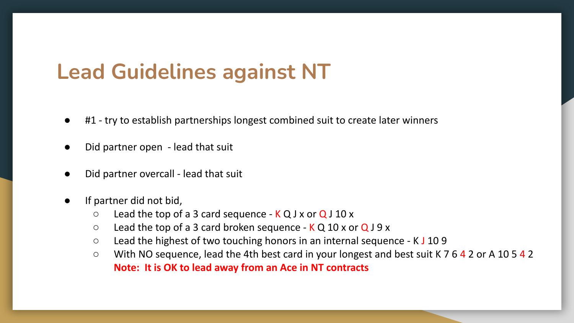## **Lead Guidelines against NT**

- #1 try to establish partnerships longest combined suit to create later winners
- Did partner open lead that suit
- Did partner overcall lead that suit
- If partner did not bid,
	- $\circ$  Lead the top of a 3 card sequence K Q J x or Q J 10 x
	- $\circ$  Lead the top of a 3 card broken sequence K Q 10 x or Q J 9 x
	- Lead the highest of two touching honors in an internal sequence K J 10 9
	- With NO sequence, lead the 4th best card in your longest and best suit K 7 6 4 2 or A 10 5 4 2 **Note: It is OK to lead away from an Ace in NT contracts**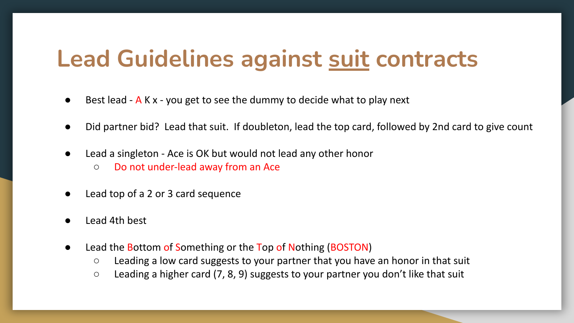## **Lead Guidelines against suit contracts**

- Best lead A K x you get to see the dummy to decide what to play next
- Did partner bid? Lead that suit. If doubleton, lead the top card, followed by 2nd card to give count
- Lead a singleton Ace is OK but would not lead any other honor
	- Do not under-lead away from an Ace
- Lead top of a 2 or 3 card sequence
- Lead 4th best
- Lead the Bottom of Something or the Top of Nothing (BOSTON)
	- Leading a low card suggests to your partner that you have an honor in that suit
	- Leading a higher card (7, 8, 9) suggests to your partner you don't like that suit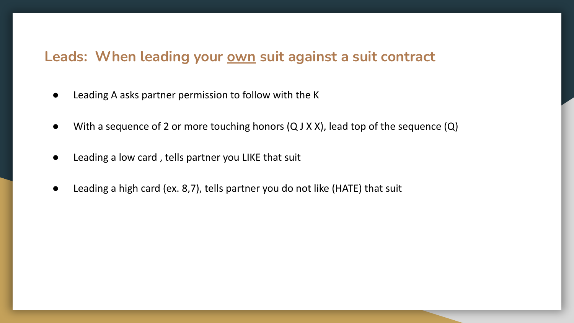#### Leads: When leading your **own** suit against a suit contract

- Leading A asks partner permission to follow with the K
- With a sequence of 2 or more touching honors (Q J X X), lead top of the sequence (Q)
- Leading a low card , tells partner you LIKE that suit
- Leading a high card (ex. 8,7), tells partner you do not like (HATE) that suit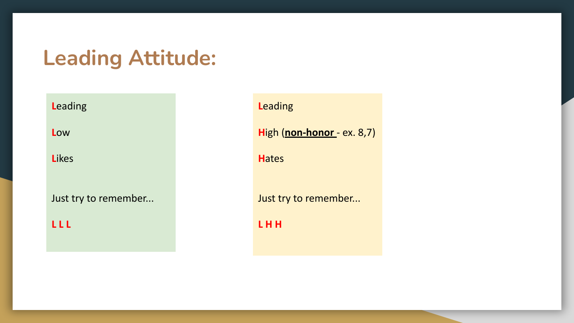## **Leading Attitude:**

**L**eading

**L**ow

**L**ikes

Just try to remember...

**L L L** 

**L**eading

**H**igh (**non-honor** - ex. 8,7)

**H**ates

Just try to remember...

**L H H**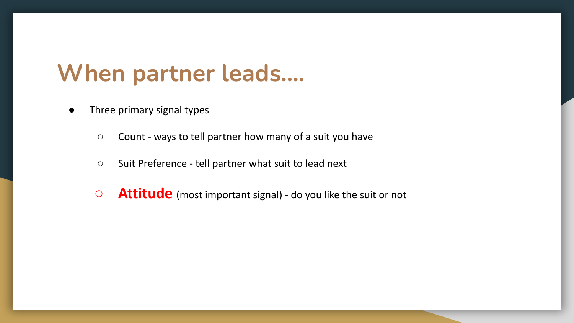## **When partner leads….**

- Three primary signal types
	- Count ways to tell partner how many of a suit you have
	- Suit Preference tell partner what suit to lead next
	- **○ Attitude** (most important signal) do you like the suit or not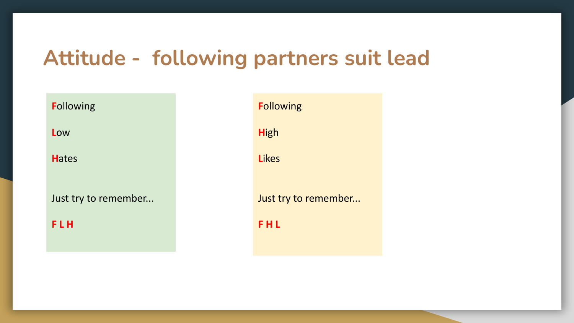#### **Attitude - following partners suit lead**

**F**ollowing **L**ow **H**ates Just try to remember... **F L H F**ollowing **H**igh **L**ikes **F H L** 

Just try to remember...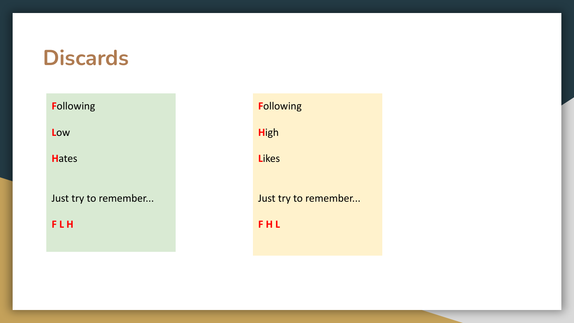#### **Discards**

**F**ollowing

**L**ow

**H**ates

Just try to remember...

**F L H** 

**F**ollowing

**H**igh

**L**ikes

Just try to remember...

**F H L**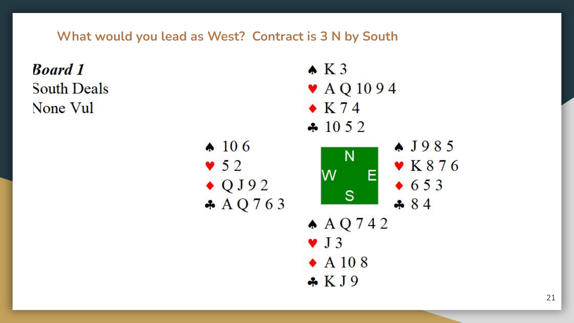**What would you lead as West? Contract is 3 N by South**

**Board 1**  $K3$  $\blacktriangleright$  AQ 1094 **South Deals**  $\bullet$  K 74 None Vul  $\div 1052$  $\bullet$  106  $\bullet$  J985  $N$  $\blacktriangledown$  K 8 7 6  $\bullet$  52 W E  $653$  $\bullet$  QJ92  $\mathbf S$  $A Q 763$  $-84$  $A Q 742$  $\vee$  J 3  $\bullet$  A 10 8  $\star$  KJ9